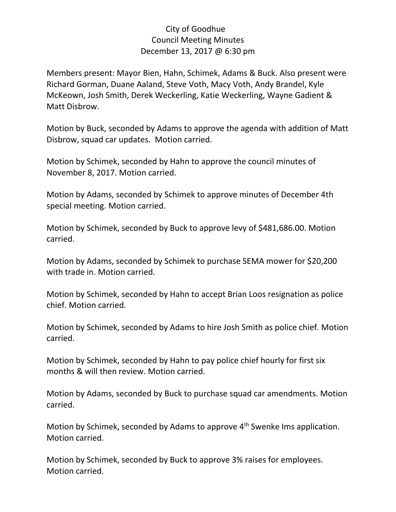## City of Goodhue Council Meeting Minutes December 13, 2017 @ 6:30 pm

Members present: Mayor Bien, Hahn, Schimek, Adams & Buck. Also present were Richard Gorman, Duane Aaland, Steve Voth, Macy Voth, Andy Brandel, Kyle McKeown, Josh Smith, Derek Weckerling, Katie Weckerling, Wayne Gadient & Matt Disbrow.

Motion by Buck, seconded by Adams to approve the agenda with addition of Matt Disbrow, squad car updates. Motion carried.

Motion by Schimek, seconded by Hahn to approve the council minutes of November 8, 2017. Motion carried.

Motion by Adams, seconded by Schimek to approve minutes of December 4th special meeting. Motion carried.

Motion by Schimek, seconded by Buck to approve levy of \$481,686.00. Motion carried.

Motion by Adams, seconded by Schimek to purchase SEMA mower for \$20,200 with trade in. Motion carried.

Motion by Schimek, seconded by Hahn to accept Brian Loos resignation as police chief. Motion carried.

Motion by Schimek, seconded by Adams to hire Josh Smith as police chief. Motion carried.

Motion by Schimek, seconded by Hahn to pay police chief hourly for first six months & will then review. Motion carried.

Motion by Adams, seconded by Buck to purchase squad car amendments. Motion carried.

Motion by Schimek, seconded by Adams to approve 4<sup>th</sup> Swenke Ims application. Motion carried.

Motion by Schimek, seconded by Buck to approve 3% raises for employees. Motion carried.